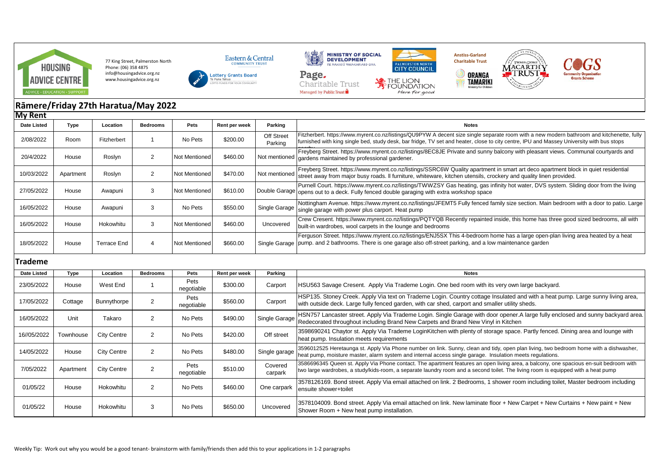

77 King Street, Palmerston North Phone: (06) 358 4875 info@housingadvice.org.nz www.housingadvice.org.nz







**TAMARIKI** 



## **Rāmere/Friday 27th Haratua/May 2022 My Rent**

| ,           |             |             |          |               |               |                              |                                                                                                                                                                                                                                                                                         |
|-------------|-------------|-------------|----------|---------------|---------------|------------------------------|-----------------------------------------------------------------------------------------------------------------------------------------------------------------------------------------------------------------------------------------------------------------------------------------|
| Date Listed | <b>Type</b> | Location    | Bedrooms | Pets          | Rent per week | Parking                      | <b>Notes</b>                                                                                                                                                                                                                                                                            |
| 2/08/2022   | Room        | Fitzherbert |          | No Pets       | \$200.00      | <b>Off Street</b><br>Parking | Fitzherbert. https://www.myrent.co.nz/listings/QU9PYW A decent size single separate room with a new modern bathroom and kitchenette, fully<br>furnished with king single bed, study desk, bar fridge, TV set and heater, close to city centre, IPU and Massey University with bus stops |
| 20/4/2022   | House       | Roslyn      | 2        | Not Mentioned | \$460.00      | Not mentioned                | Freyberg Street. https://www.myrent.co.nz/listings/8EC8JE Private and sunny balcony with pleasant views. Communal courtyards and<br>gardens maintained by professional gardener.                                                                                                        |
| 10/03/2022  | Apartment   | Roslyn      | 2        | Not Mentioned | \$470.00      | Not mentioned                | Freyberg Street. https://www.myrent.co.nz/listings/SSRC6W Quality apartment in smart art deco apartment block in quiet residential<br>street away from major busy roads. Il furniture, whiteware, kitchen utensils, crockery and quality linen provided.                                |
| 27/05/2022  | House       | Awapuni     | 3        | Not Mentioned | \$610.00      |                              | Purnell Court. https://www.myrent.co.nz/listings/TWWZSY Gas heating, gas infinity hot water, DVS system. Sliding door from the living<br>Double Garage opens out to a deck. Fully fenced double garaging with extra workshop space                                                      |
| 16/05/2022  | House       | Awapuni     | 3        | No Pets       | \$550.00      | Single Garage                | Nottingham Avenue. https://www.myrent.co.nz/listings/JFEMT5 Fully fenced family size section. Main bedroom with a door to patio. Large<br>single garage with power plus carport. Heat pump                                                                                              |
| 16/05/2022  | House       | Hokowhitu   | 3        | Not Mentioned | \$460.00      | Uncovered                    | Crew Cresent. https://www.myrent.co.nz/listings/PQTYQB Recently repainted inside, this home has three good sized bedrooms, all with<br>built-in wardrobes, wool carpets in the lounge and bedrooms                                                                                      |
| 18/05/2022  | House       | Terrace End |          | Not Mentioned | \$660.00      |                              | Ferguson Street. https://www.myrent.co.nz/listings/ENJ5SX This 4-bedroom home has a large open-plan living area heated by a heat<br>Single Garage   pump. and 2 bathrooms. There is one garage also off-street parking, and a low maintenance garden                                    |

## **Trademe**

| <b>Date Listed</b> | Type      | Location           | <b>Bedrooms</b> | Pets               | Rent per week | Parking            | <b>Notes</b>                                                                                                                                                                                                                                                                |
|--------------------|-----------|--------------------|-----------------|--------------------|---------------|--------------------|-----------------------------------------------------------------------------------------------------------------------------------------------------------------------------------------------------------------------------------------------------------------------------|
| 23/05/2022         | House     | West End           |                 | Pets<br>negotiable | \$300.00      | Carport            | HSU563 Savage Cresent. Apply Via Trademe Login. One bed room with its very own large backyard.                                                                                                                                                                              |
| 17/05/2022         | Cottage   | Bunnythorpe        | $\mathcal{P}$   | Pets<br>negotiable | \$560.00      | Carport            | HSP135. Stoney Creek. Apply Via text on Trademe Login. Country cottage Insulated and with a heat pump. Large sunny living area,<br>with outside deck. Large fully fenced garden, with car shed, carport and smaller utility sheds.                                          |
| 16/05/2022         | Unit      | Takaro             | $\overline{2}$  | No Pets            | \$490.00      | Single Garage      | HSN757 Lancaster street. Apply Via Trademe Login. Single Garage with door opener.A large fully enclosed and sunny backyard area.<br>Redecorated throughout including Brand New Carpets and Brand New Vinyl in Kitchen                                                       |
| 16//05/2022        | Townhouse | <b>City Centre</b> | 2               | No Pets            | \$420.00      | Off street         | 3598690241 Chaytor st. Apply Via Trademe LoginKitchen with plenty of storage space. Partly fenced. Dining area and lounge with<br>heat pump. Insulation meets requirements                                                                                                  |
| 14/05/2022         | House     | <b>City Centre</b> | $\overline{2}$  | No Pets            | \$480.00      | Single garage      | 3596012525 Heretaunga st. Apply Via Phone number on link. Sunny, clean and tidy, open plan living, two bedroom home with a dishwasher,<br>heat pump, moisture master, alarm system and internal access single garage. Insulation meets regulations.                         |
| 7/05/2022          | Apartment | City Centre        | $\overline{2}$  | Pets<br>negotiable | \$510.00      | Covered<br>carpark | 3586696345 Queen st. Apply Via Phone contact. The apartment features an open living area, a balcony, one spacious en-suit bedroom with<br>two large wardrobes, a study/kids-room, a separate laundry room and a second toilet. The living room is equipped with a heat pump |
| 01/05/22           | House     | Hokowhitu          | 2               | No Pets            | \$460.00      | One carpark        | 3578126169. Bond street. Apply Via email attached on link. 2 Bedrooms, 1 shower room including toilet, Master bedroom including<br>ensuite shower+toilet                                                                                                                    |
| 01/05/22           | House     | Hokowhitu          | 3               | No Pets            | \$650.00      | Uncovered          | 3578104009. Bond street. Apply Via email attached on link. New laminate floor + New Carpet + New Curtains + New paint + New<br>Shower Room + New heat pump installation.                                                                                                    |